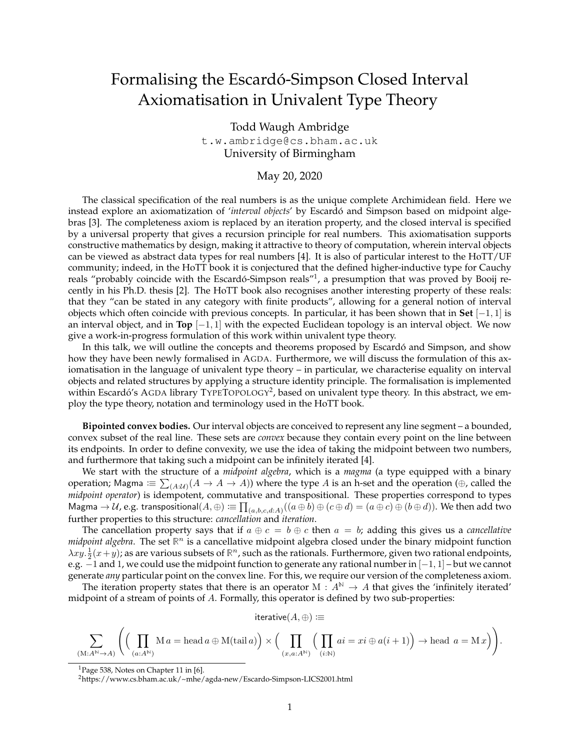## Formalising the Escardó-Simpson Closed Interval Axiomatisation in Univalent Type Theory

Todd Waugh Ambridge t.w.ambridge@cs.bham.ac.uk University of Birmingham

## May 20, 2020

The classical specification of the real numbers is as the unique complete Archimidean field. Here we instead explore an axiomatization of *'interval objects'* by Escardó and Simpson based on midpoint algebras [3]. The completeness axiom is replaced by an iteration property, and the closed interval is specified by a universal property that gives a recursion principle for real numbers. This axiomatisation supports constructive mathematics by design, making it attractive to theory of computation, wherein interval objects can be viewed as abstract data types for real numbers [4]. It is also of particular interest to the HoTT/UF community; indeed, in the HoTT book it is conjectured that the defined higher-inductive type for Cauchy reals "probably coincide with the Escardó-Simpson reals"<sup>1</sup>, a presumption that was proved by Booij recently in his Ph.D. thesis [2]. The HoTT book also recognises another interesting property of these reals: that they "can be stated in any category with finite products", allowing for a general notion of interval objects which often coincide with previous concepts. In particular, it has been shown that in **Set** [−1, 1] is an interval object, and in **Top** [−1, 1] with the expected Euclidean topology is an interval object. We now give a work-in-progress formulation of this work within univalent type theory.

In this talk, we will outline the concepts and theorems proposed by Escardó and Simpson, and show how they have been newly formalised in AGDA. Furthermore, we will discuss the formulation of this axiomatisation in the language of univalent type theory – in particular, we characterise equality on interval objects and related structures by applying a structure identity principle. The formalisation is implemented within Escardó's AGDA library TYPETOPOLOGY<sup>2</sup>, based on univalent type theory. In this abstract, we employ the type theory, notation and terminology used in the HoTT book.

**Bipointed convex bodies.** Our interval objects are conceived to represent any line segment – a bounded, convex subset of the real line. These sets are *convex* because they contain every point on the line between its endpoints. In order to define convexity, we use the idea of taking the midpoint between two numbers, and furthermore that taking such a midpoint can be infinitely iterated [4].

We start with the structure of a *midpoint algebra*, which is a *magma* (a type equipped with a binary operation; Magma  $\Xi \equiv \sum_{(A:\mathcal{U})} (A \to A \to A)$ ) where the type  $A$  is an h-set and the operation (⊕, called the *midpoint operator*) is idempotent, commutative and transpositional. These properties correspond to types Magma  $\to\mathcal U$ , e.g. transpositional $(A,\oplus)\coloneqq\prod_{(a,b,c,d:A)}((a\oplus b)\oplus(c\oplus d)=(a\oplus c)\oplus(b\oplus d)).$  We then add two further properties to this structure: *cancellation* and *iteration*.

The cancellation property says that if  $a \oplus c = b \oplus c$  then  $a = b$ ; adding this gives us a *cancellative midpoint algebra*. The set  $\mathbb{R}^n$  is a cancellative midpoint algebra closed under the binary midpoint function  $\lambda xy.\frac{1}{2}(x+y)$ ; as are various subsets of  $\mathbb{R}^n$ , such as the rationals. Furthermore, given two rational endpoints, e.g.  $-1$  and 1, we could use the midpoint function to generate any rational number in  $[-1, 1]$  – but we cannot generate *any* particular point on the convex line. For this, we require our version of the completeness axiom.

The iteration property states that there is an operator M :  $A^N \to A$  that gives the 'infinitely iterated' midpoint of a stream of points of A. Formally, this operator is defined by two sub-properties:

iterative $(A, \oplus) \coloneqq$ 

$$
\sum_{(\mathbf{M}:A^{\mathbb{N}}\rightarrow A)}\Bigg(\Big(\prod_{(a:A^{\mathbb{N}})}\mathbf{M}\,a=\operatorname{head} a\oplus\operatorname{M}(\operatorname{tail} a)\Big)\times\Big(\prod_{(x,a:A^{\mathbb{N}})}\Big(\prod_{(i:\mathbb{N})}ai=xi\oplus a(i+1)\Big)\rightarrow\operatorname{head}\,a=\mathbf{M}\,x\Big)\Bigg).
$$

 $1P$ age 538, Notes on Chapter 11 in [6].

<sup>2</sup>https://www.cs.bham.ac.uk/~mhe/agda-new/Escardo-Simpson-LICS2001.html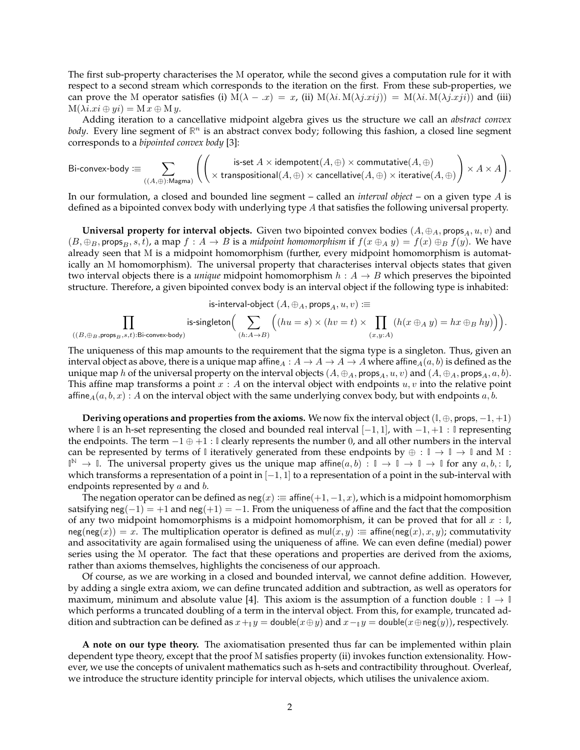The first sub-property characterises the M operator, while the second gives a computation rule for it with respect to a second stream which corresponds to the iteration on the first. From these sub-properties, we can prove the M operator satisfies (i)  $M(\lambda - x) = x$ , (ii)  $M(\lambda i \cdot M(\lambda j.xjj)) = M(\lambda i \cdot M(\lambda j.xji))$  and (iii)  $M(\lambda i.x_i \oplus yi) = M x \oplus My.$ 

Adding iteration to a cancellative midpoint algebra gives us the structure we call an *abstract convex* body. Every line segment of  $\mathbb{R}^n$  is an abstract convex body; following this fashion, a closed line segment corresponds to a *bipointed convex body* [3]:

Bi-convex-body  $\equiv \sum$  $((A,\oplus):$ Magma)  $\int$   $\int$  is-set  $A \times$  idempotent $(A, \oplus) \times$  commutative $(A, \oplus)$  $\times$  transpositional $(A,\oplus)\times$  cancellative $(A,\oplus)\times$  iterative $(A,\oplus)$  $\setminus$  $\times$  A  $\times$  A  $\setminus$ .

In our formulation, a closed and bounded line segment – called an *interval object* – on a given type A is defined as a bipointed convex body with underlying type A that satisfies the following universal property.

**Universal property for interval objects.** Given two bipointed convex bodies  $(A, \oplus_A, \text{props}_A, u, v)$  and  $(B, \oplus_B, \mathsf{props}_B, s, t)$ , a map  $f : A \to B$  is a *midpoint homomorphism* if  $f(x \oplus_A y) = f(x) \oplus_B f(y)$ . We have already seen that M is a midpoint homomorphism (further, every midpoint homomorphism is automatically an M homomorphism). The universal property that characterises interval objects states that given two interval objects there is a *unique* midpoint homomorphism  $h : A \rightarrow B$  which preserves the bipointed structure. Therefore, a given bipointed convex body is an interval object if the following type is inhabited:

is-interval-object  $(A, \oplus_A, \text{props}_A, u, v) \coloneqq$ 

$$
\prod_{((B, \oplus_B, \mathrm{props}_B, s, t): \mathrm{Bi\text{-}convex\text{-}body)}} \mathrm{is\text{-}singleton} \Big(\sum_{(h: A \to B)} \Big((hu = s) \times (hv = t) \times \prod_{(x,y:A)} (h(x \oplus_A y) = hx \oplus_B hy)\Big)\Big).
$$

The uniqueness of this map amounts to the requirement that the sigma type is a singleton. Thus, given an interval object as above, there is a unique map affine $_A: A \to A \to A$  where affine $_A(a, b)$  is defined as the unique map h of the universal property on the interval objects  $(A, \oplus_A, \text{props}_A, u, v)$  and  $(A, \oplus_A, \text{props}_A, a, b)$ . This affine map transforms a point  $x : A$  on the interval object with endpoints  $u, v$  into the relative point affine<sub>A</sub> $(a, b, x)$ : A on the interval object with the same underlying convex body, but with endpoints a, b.

**Deriving operations and properties from the axioms.** We now fix the interval object  $(\mathbb{I}, \oplus, \text{props}, -1, +1)$ where **I** is an h-set representing the closed and bounded real interval [−1, 1], with −1, +1 : **I** representing the endpoints. The term −1 ⊕ +1 : **I** clearly represents the number 0, and all other numbers in the interval can be represented by terms of  $\parallel$  iteratively generated from these endpoints by  $\oplus : \parallel \rightarrow \parallel \rightarrow \parallel$  and M :  $\mathbb{I}^{\mathbb{N}} \to \mathbb{I}$ . The universal property gives us the unique map affine $(a, b) : \mathbb{I} \to \mathbb{I} \to \mathbb{I} \to \mathbb{I}$  for any  $a, b, : \mathbb{I}$ , which transforms a representation of a point in  $[-1, 1]$  to a representation of a point in the sub-interval with endpoints represented by *a* and *b*.

The negation operator can be defined as  $neg(x) := \text{affine}(+1, -1, x)$ , which is a midpoint homomorphism satsifying  $neg(-1) = +1$  and  $neg(+1) = -1$ . From the uniqueness of affine and the fact that the composition of any two midpoint homomorphisms is a midpoint homomorphism, it can be proved that for all  $x : \mathbb{I}$ ,  $neg(neg(x)) = x$ . The multiplication operator is defined as mul(x, y)  $\equiv$  affine(neg(x), x, y); commutativity and associtativity are again formalised using the uniqueness of affine. We can even define (medial) power series using the M operator. The fact that these operations and properties are derived from the axioms, rather than axioms themselves, highlights the conciseness of our approach.

Of course, as we are working in a closed and bounded interval, we cannot define addition. However, by adding a single extra axiom, we can define truncated addition and subtraction, as well as operators for maximum, minimum and absolute value [4]. This axiom is the assumption of a function double :  $\mathbb{I} \to \mathbb{I}$ which performs a truncated doubling of a term in the interval object. From this, for example, truncated addition and subtraction can be defined as  $x +_1 y =$  double( $x \oplus y$ ) and  $x -_1 y =$  double( $x \oplus$ neg(y)), respectively.

**A note on our type theory.** The axiomatisation presented thus far can be implemented within plain dependent type theory, except that the proof M satisfies property (ii) invokes function extensionality. However, we use the concepts of univalent mathematics such as h-sets and contractibility throughout. Overleaf, we introduce the structure identity principle for interval objects, which utilises the univalence axiom.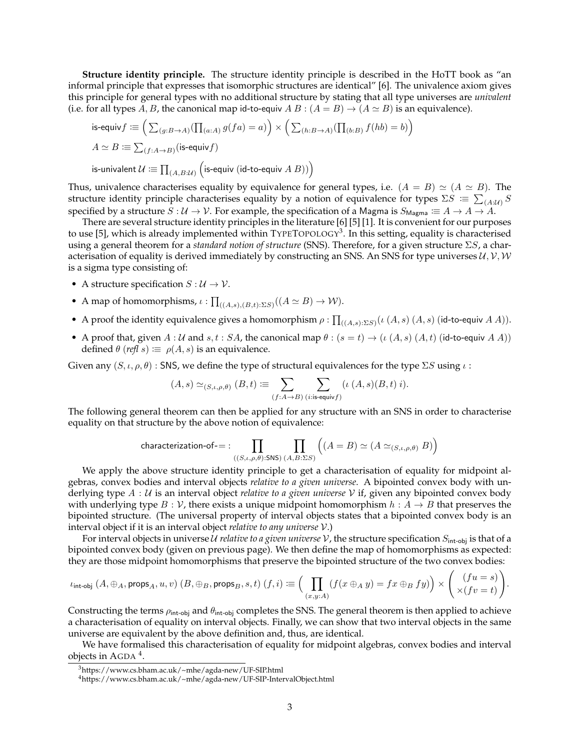**Structure identity principle.** The structure identity principle is described in the HoTT book as "an informal principle that expresses that isomorphic structures are identical" [6]. The univalence axiom gives this principle for general types with no additional structure by stating that all type universes are *univalent* (i.e. for all types A, B, the canonical map id-to-equiv  $A B : (A = B) \rightarrow (A \simeq B)$  is an equivalence).

is-equiv 
$$
f := (\sum_{(g:B \to A)} (\prod_{(a:A)} g(fa) = a)) \times (\sum_{(h:B \to A)} (\prod_{(b:B)} f(hb) = b))
$$
  
\n $A \simeq B := \sum_{(f:A \to B)} (\text{is-equiv } f)$   
\nis-univalent  $U := \prod_{(A,B:M)} (\text{is-equiv } (\text{id-to-equiv } A \ B)))$ 

Thus, univalence characterises equality by equivalence for general types, i.e.  $(A = B) \simeq (A \simeq B)$ . The structure identity principle characterises equality by a notion of equivalence for types  $\Sigma S \,\equiv\, \sum_{(A:\mathcal{U})} S$ specified by a structure  $S: U \to V$ . For example, the specification of a Magma is  $S_{\text{Magma}} \equiv A \to A \to A$ .

There are several structure identity principles in the literature [6] [5] [1]. It is convenient for our purposes to use [5], which is already implemented within  $T$ YPE $T$ OPOLOGY<sup>3</sup>. In this setting, equality is characterised using a general theorem for a *standard notion of structure* (SNS). Therefore, for a given structure ΣS, a characterisation of equality is derived immediately by constructing an SNS. An SNS for type universes  $U, V, W$ is a sigma type consisting of:

- A structure specification  $S: \mathcal{U} \to \mathcal{V}$ .
- A map of homomorphisms,  $\iota : \prod_{((A,s),(B,t):\Sigma S)} ((A \simeq B) \to W)$ .
- A proof the identity equivalence gives a homomorphism  $\rho : \prod_{((A,s):\Sigma S)} (\iota(A,s) (A,s)$  (id-to-equiv  $A A)$ ).
- A proof that, given  $A: U$  and  $s, t: SA$ , the canonical map  $\theta: (s = t) \to (\iota(A, s) (A, t))$  (id-to-equiv  $A A)$ ) defined  $\theta$  (*refl* s)  $\equiv \rho(A, s)$  is an equivalence.

Given any  $(S, \iota, \rho, \theta)$  : SNS, we define the type of structural equivalences for the type  $\Sigma S$  using  $\iota$  :

$$
(A, s) \simeq_{(S, \iota, \rho, \theta)} (B, t) \coloneqq \sum_{(f: A \to B)} \sum_{(i: \text{is-equiv} f)} (\iota(A, s)(B, t) i).
$$

The following general theorem can then be applied for any structure with an SNS in order to characterise equality on that structure by the above notion of equivalence:

$$
\text{characterization-of} =: \prod_{\left(\left(S,\iota,\rho,\theta\right): \text{SNS} \right)} \prod_{\left(A,B:\Sigma S\right)} \left( \left(A=B\right) \simeq \left(A \simeq_{\left(S,\iota,\rho,\theta\right)} B\right) \right)
$$

We apply the above structure identity principle to get a characterisation of equality for midpoint algebras, convex bodies and interval objects *relative to a given universe*. A bipointed convex body with underlying type A : U is an interval object *relative to a given universe* V if, given any bipointed convex body with underlying type  $B : V$ , there exists a unique midpoint homomorphism  $h : A \rightarrow B$  that preserves the bipointed structure. (The universal property of interval objects states that a bipointed convex body is an interval object if it is an interval object *relative to any universe* V.)

For interval objects in universe U *relative to a given universe* V, the structure specification  $S_{\text{int-obj}}$  is that of a bipointed convex body (given on previous page). We then define the map of homomorphisms as expected: they are those midpoint homomorphisms that preserve the bipointed structure of the two convex bodies:

$$
\iota_{\text{int-obj}}\left(A,\oplus_A,\text{props}_A,u,v\right)\left(B,\oplus_B,\text{props}_B,s,t\right)\left(f,i\right)\coloneqq\Big(\prod_{(x,y:A)}\left(f(x\oplus_A y)=fx\oplus_B fy\right)\Big)\times\Bigg(\begin{array}{c}\left(fu=s\right)\\ \times\left(fv=t\right)\end{array}\Bigg).
$$

Constructing the terms  $\rho_{\text{int-obj}}$  and  $\theta_{\text{int-obj}}$  completes the SNS. The general theorem is then applied to achieve a characterisation of equality on interval objects. Finally, we can show that two interval objects in the same universe are equivalent by the above definition and, thus, are identical.

We have formalised this characterisation of equality for midpoint algebras, convex bodies and interval objects in AGDA<sup>4</sup>.

<sup>3</sup>https://www.cs.bham.ac.uk/~mhe/agda-new/UF-SIP.html

<sup>4</sup>https://www.cs.bham.ac.uk/~mhe/agda-new/UF-SIP-IntervalObject.html